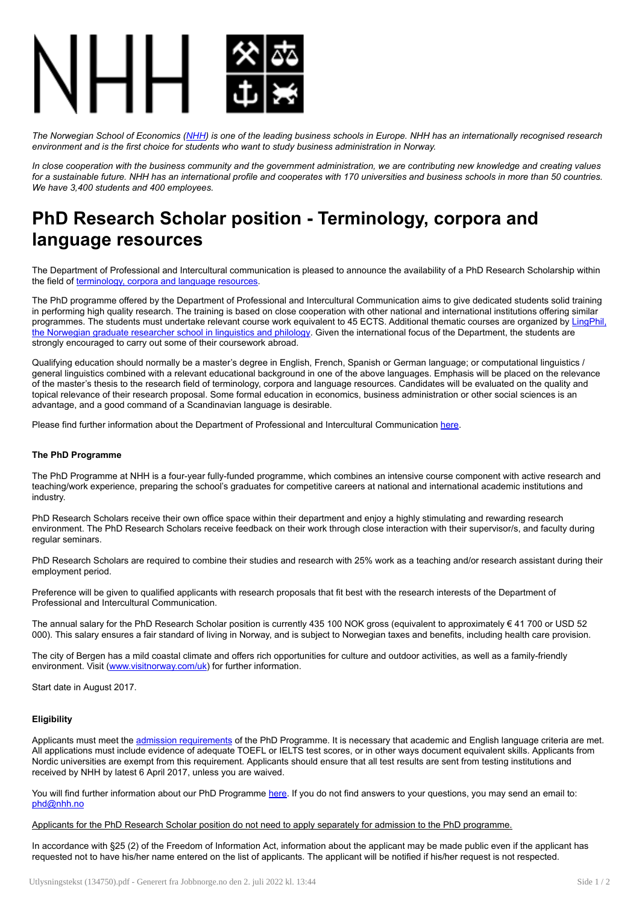

The Norwegian School of Economics [\(NHH](https://www.nhh.no/en/)) is one of the leading business schools in Europe. NHH has an internationally recognised research *environment and is the first choice for students who want to study business administration in Norway.*

In close cooperation with the business community and the government administration, we are contributing new knowledge and creating values for a sustainable future. NHH has an international profile and cooperates with 170 universities and business schools in more than 50 countries. *We have 3,400 students and 400 employees.*

## PhD Research Scholar position - Terminology, corpora and language resources

The Department of Professional and Intercultural communication is pleased to announce the availability of a PhD Research Scholarship within the field of [terminology,](https://www.nhh.no/en/departments/professional-and-intercultural-communication/research/terminology-corpora-and-language-resources/) corpora and language resources.

The PhD programme offered by the Department of Professional and Intercultural Communication aims to give dedicated students solid training in performing high quality research. The training is based on close cooperation with other national and international institutions offering similar [programmes.](https://www.ntnu.edu/lingphil) The students must undertake relevant course work equivalent to 45 ECTS. Additional thematic courses are organized by LingPhil, the Norwegian graduate researcher school in linguistics and philology. Given the international focus of the Department, the students are strongly encouraged to carry out some of their coursework abroad.

Qualifying education should normally be a master's degree in English, French, Spanish or German language; or computational linguistics / general linguistics combined with a relevant educational background in one of the above languages. Emphasis will be placed on the relevance of the master's thesis to the research field of terminology, corpora and language resources. Candidates will be evaluated on the quality and topical relevance of their research proposal. Some formal education in economics, business administration or other social sciences is an advantage, and a good command of a Scandinavian language is desirable.

Please find further information about the Department of Professional and Intercultural Communication [here](https://www.nhh.no/en/departments/professional-and-intercultural-communication/).

## The PhD Programme

The PhD Programme at NHH is a four-year fully-funded programme, which combines an intensive course component with active research and teaching/work experience, preparing the school's graduates for competitive careers at national and international academic institutions and industry.

PhD Research Scholars receive their own office space within their department and enjoy a highly stimulating and rewarding research environment. The PhD Research Scholars receive feedback on their work through close interaction with their supervisor/s, and faculty during regular seminars.

PhD Research Scholars are required to combine their studies and research with 25% work as a teaching and/or research assistant during their employment period.

Preference will be given to qualified applicants with research proposals that fit best with the research interests of the Department of Professional and Intercultural Communication.

The annual salary for the PhD Research Scholar position is currently 435 100 NOK gross (equivalent to approximately € 41 700 or USD 52 000). This salary ensures a fair standard of living in Norway, and is subject to Norwegian taxes and benefits, including health care provision.

The city of Bergen has a mild coastal climate and offers rich opportunities for culture and outdoor activities, as well as a family-friendly environment. Visit [\(www.visitnorway.com/uk\)](http://www.visitnorway.com/uk) for further information.

Start date in August 2017.

## **Eligibility**

Applicants must meet the admission [requirements](https://www.nhh.no/en/study-programmes/phd-programme-at-nhh/admission/) of the PhD Programme. It is necessary that academic and English language criteria are met. All applications must include evidence of adequate TOEFL or IELTS test scores, or in other ways document equivalent skills. Applicants from Nordic universities are exempt from this requirement. Applicants should ensure that all test results are sent from testing institutions and received by NHH by latest 6 April 2017, unless you are waived.

You will find further information about our PhD Programme [here](https://www.nhh.no/en/study-programmes/phd-programme-at-nhh/). If you do not find answers to your questions, you may send an email to: [phd@nhh.no](mailto:phd@nhh.no)

Applicants for the PhD Research Scholar position do not need to apply separately for admission to the PhD programme.

In accordance with §25 (2) of the Freedom of Information Act, information about the applicant may be made public even if the applicant has requested not to have his/her name entered on the list of applicants. The applicant will be notified if his/her request is not respected.